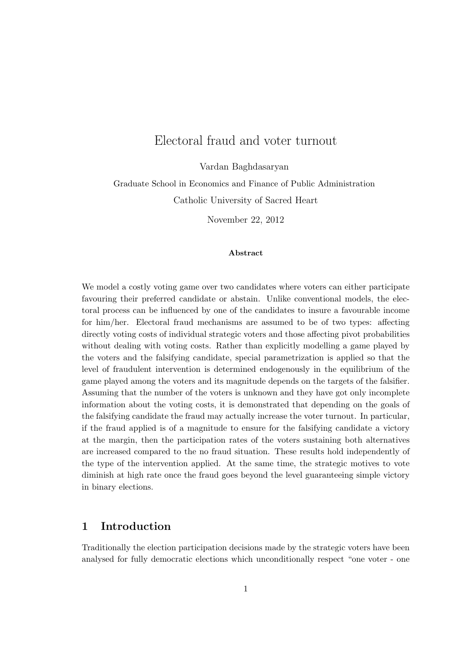# Electoral fraud and voter turnout

Vardan Baghdasaryan

Graduate School in Economics and Finance of Public Administration Catholic University of Sacred Heart

November 22, 2012

#### Abstract

We model a costly voting game over two candidates where voters can either participate favouring their preferred candidate or abstain. Unlike conventional models, the electoral process can be influenced by one of the candidates to insure a favourable income for him/her. Electoral fraud mechanisms are assumed to be of two types: affecting directly voting costs of individual strategic voters and those affecting pivot probabilities without dealing with voting costs. Rather than explicitly modelling a game played by the voters and the falsifying candidate, special parametrization is applied so that the level of fraudulent intervention is determined endogenously in the equilibrium of the game played among the voters and its magnitude depends on the targets of the falsifier. Assuming that the number of the voters is unknown and they have got only incomplete information about the voting costs, it is demonstrated that depending on the goals of the falsifying candidate the fraud may actually increase the voter turnout. In particular, if the fraud applied is of a magnitude to ensure for the falsifying candidate a victory at the margin, then the participation rates of the voters sustaining both alternatives are increased compared to the no fraud situation. These results hold independently of the type of the intervention applied. At the same time, the strategic motives to vote diminish at high rate once the fraud goes beyond the level guaranteeing simple victory in binary elections.

## 1 Introduction

Traditionally the election participation decisions made by the strategic voters have been analysed for fully democratic elections which unconditionally respect "one voter - one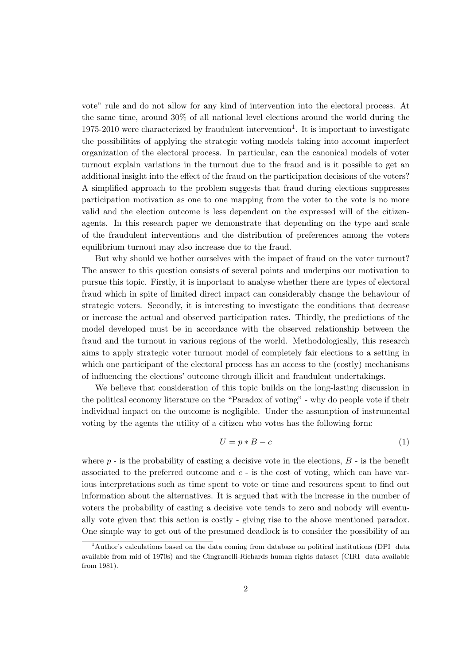vote" rule and do not allow for any kind of intervention into the electoral process. At the same time, around 30% of all national level elections around the world during the 1975-2010 were characterized by fraudulent intervention<sup>1</sup>. It is important to investigate the possibilities of applying the strategic voting models taking into account imperfect organization of the electoral process. In particular, can the canonical models of voter turnout explain variations in the turnout due to the fraud and is it possible to get an additional insight into the effect of the fraud on the participation decisions of the voters? A simplified approach to the problem suggests that fraud during elections suppresses participation motivation as one to one mapping from the voter to the vote is no more valid and the election outcome is less dependent on the expressed will of the citizenagents. In this research paper we demonstrate that depending on the type and scale of the fraudulent interventions and the distribution of preferences among the voters equilibrium turnout may also increase due to the fraud.

But why should we bother ourselves with the impact of fraud on the voter turnout? The answer to this question consists of several points and underpins our motivation to pursue this topic. Firstly, it is important to analyse whether there are types of electoral fraud which in spite of limited direct impact can considerably change the behaviour of strategic voters. Secondly, it is interesting to investigate the conditions that decrease or increase the actual and observed participation rates. Thirdly, the predictions of the model developed must be in accordance with the observed relationship between the fraud and the turnout in various regions of the world. Methodologically, this research aims to apply strategic voter turnout model of completely fair elections to a setting in which one participant of the electoral process has an access to the (costly) mechanisms of influencing the elections' outcome through illicit and fraudulent undertakings.

We believe that consideration of this topic builds on the long-lasting discussion in the political economy literature on the "Paradox of voting" - why do people vote if their individual impact on the outcome is negligible. Under the assumption of instrumental voting by the agents the utility of a citizen who votes has the following form:

$$
U = p * B - c \tag{1}
$$

where  $p$  - is the probability of casting a decisive vote in the elections,  $B$  - is the benefit associated to the preferred outcome and  $c - i$  is the cost of voting, which can have various interpretations such as time spent to vote or time and resources spent to find out information about the alternatives. It is argued that with the increase in the number of voters the probability of casting a decisive vote tends to zero and nobody will eventually vote given that this action is costly - giving rise to the above mentioned paradox. One simple way to get out of the presumed deadlock is to consider the possibility of an

<sup>1</sup>Author's calculations based on the data coming from database on political institutions (DPI data available from mid of 1970s) and the Cingranelli-Richards human rights dataset (CIRI data available from 1981).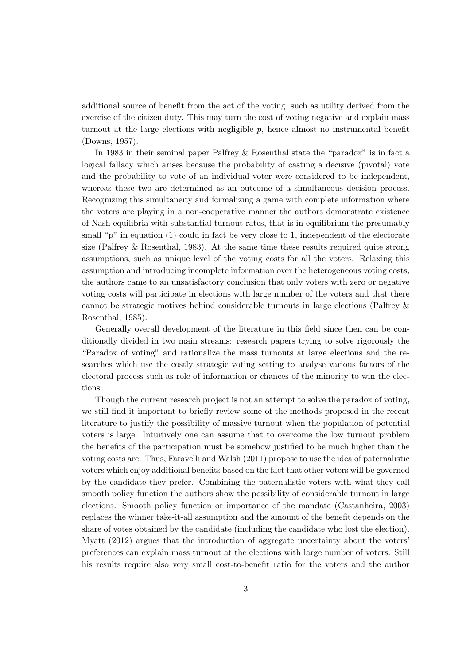additional source of benefit from the act of the voting, such as utility derived from the exercise of the citizen duty. This may turn the cost of voting negative and explain mass turnout at the large elections with negligible p, hence almost no instrumental benefit (Downs, 1957).

In 1983 in their seminal paper Palfrey & Rosenthal state the "paradox" is in fact a logical fallacy which arises because the probability of casting a decisive (pivotal) vote and the probability to vote of an individual voter were considered to be independent, whereas these two are determined as an outcome of a simultaneous decision process. Recognizing this simultaneity and formalizing a game with complete information where the voters are playing in a non-cooperative manner the authors demonstrate existence of Nash equilibria with substantial turnout rates, that is in equilibrium the presumably small "p" in equation (1) could in fact be very close to 1, independent of the electorate size (Palfrey & Rosenthal, 1983). At the same time these results required quite strong assumptions, such as unique level of the voting costs for all the voters. Relaxing this assumption and introducing incomplete information over the heterogeneous voting costs, the authors came to an unsatisfactory conclusion that only voters with zero or negative voting costs will participate in elections with large number of the voters and that there cannot be strategic motives behind considerable turnouts in large elections (Palfrey & Rosenthal, 1985).

Generally overall development of the literature in this field since then can be conditionally divided in two main streams: research papers trying to solve rigorously the "Paradox of voting" and rationalize the mass turnouts at large elections and the researches which use the costly strategic voting setting to analyse various factors of the electoral process such as role of information or chances of the minority to win the elections.

Though the current research project is not an attempt to solve the paradox of voting, we still find it important to briefly review some of the methods proposed in the recent literature to justify the possibility of massive turnout when the population of potential voters is large. Intuitively one can assume that to overcome the low turnout problem the benefits of the participation must be somehow justified to be much higher than the voting costs are. Thus, Faravelli and Walsh (2011) propose to use the idea of paternalistic voters which enjoy additional benefits based on the fact that other voters will be governed by the candidate they prefer. Combining the paternalistic voters with what they call smooth policy function the authors show the possibility of considerable turnout in large elections. Smooth policy function or importance of the mandate (Castanheira, 2003) replaces the winner take-it-all assumption and the amount of the benefit depends on the share of votes obtained by the candidate (including the candidate who lost the election). Myatt (2012) argues that the introduction of aggregate uncertainty about the voters' preferences can explain mass turnout at the elections with large number of voters. Still his results require also very small cost-to-benefit ratio for the voters and the author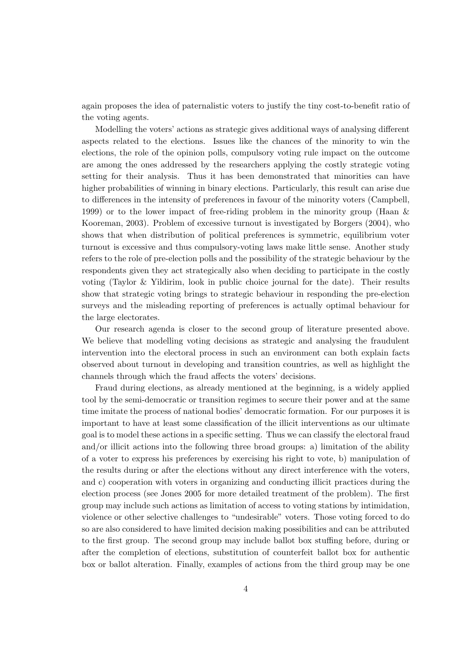again proposes the idea of paternalistic voters to justify the tiny cost-to-benefit ratio of the voting agents.

Modelling the voters' actions as strategic gives additional ways of analysing different aspects related to the elections. Issues like the chances of the minority to win the elections, the role of the opinion polls, compulsory voting rule impact on the outcome are among the ones addressed by the researchers applying the costly strategic voting setting for their analysis. Thus it has been demonstrated that minorities can have higher probabilities of winning in binary elections. Particularly, this result can arise due to differences in the intensity of preferences in favour of the minority voters (Campbell, 1999) or to the lower impact of free-riding problem in the minority group (Haan & Kooreman, 2003). Problem of excessive turnout is investigated by Borgers (2004), who shows that when distribution of political preferences is symmetric, equilibrium voter turnout is excessive and thus compulsory-voting laws make little sense. Another study refers to the role of pre-election polls and the possibility of the strategic behaviour by the respondents given they act strategically also when deciding to participate in the costly voting (Taylor & Yildirim, look in public choice journal for the date). Their results show that strategic voting brings to strategic behaviour in responding the pre-election surveys and the misleading reporting of preferences is actually optimal behaviour for the large electorates.

Our research agenda is closer to the second group of literature presented above. We believe that modelling voting decisions as strategic and analysing the fraudulent intervention into the electoral process in such an environment can both explain facts observed about turnout in developing and transition countries, as well as highlight the channels through which the fraud affects the voters' decisions.

Fraud during elections, as already mentioned at the beginning, is a widely applied tool by the semi-democratic or transition regimes to secure their power and at the same time imitate the process of national bodies' democratic formation. For our purposes it is important to have at least some classification of the illicit interventions as our ultimate goal is to model these actions in a specific setting. Thus we can classify the electoral fraud and/or illicit actions into the following three broad groups: a) limitation of the ability of a voter to express his preferences by exercising his right to vote, b) manipulation of the results during or after the elections without any direct interference with the voters, and c) cooperation with voters in organizing and conducting illicit practices during the election process (see Jones 2005 for more detailed treatment of the problem). The first group may include such actions as limitation of access to voting stations by intimidation, violence or other selective challenges to "undesirable" voters. Those voting forced to do so are also considered to have limited decision making possibilities and can be attributed to the first group. The second group may include ballot box stuffing before, during or after the completion of elections, substitution of counterfeit ballot box for authentic box or ballot alteration. Finally, examples of actions from the third group may be one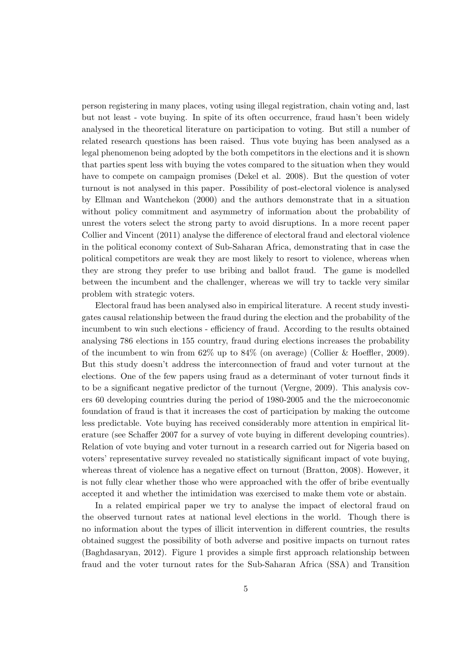person registering in many places, voting using illegal registration, chain voting and, last but not least - vote buying. In spite of its often occurrence, fraud hasn't been widely analysed in the theoretical literature on participation to voting. But still a number of related research questions has been raised. Thus vote buying has been analysed as a legal phenomenon being adopted by the both competitors in the elections and it is shown that parties spent less with buying the votes compared to the situation when they would have to compete on campaign promises (Dekel et al. 2008). But the question of voter turnout is not analysed in this paper. Possibility of post-electoral violence is analysed by Ellman and Wantchekon (2000) and the authors demonstrate that in a situation without policy commitment and asymmetry of information about the probability of unrest the voters select the strong party to avoid disruptions. In a more recent paper Collier and Vincent (2011) analyse the difference of electoral fraud and electoral violence in the political economy context of Sub-Saharan Africa, demonstrating that in case the political competitors are weak they are most likely to resort to violence, whereas when they are strong they prefer to use bribing and ballot fraud. The game is modelled between the incumbent and the challenger, whereas we will try to tackle very similar problem with strategic voters.

Electoral fraud has been analysed also in empirical literature. A recent study investigates causal relationship between the fraud during the election and the probability of the incumbent to win such elections - efficiency of fraud. According to the results obtained analysing 786 elections in 155 country, fraud during elections increases the probability of the incumbent to win from  $62\%$  up to  $84\%$  (on average) (Collier & Hoeffler, 2009). But this study doesn't address the interconnection of fraud and voter turnout at the elections. One of the few papers using fraud as a determinant of voter turnout finds it to be a significant negative predictor of the turnout (Vergne, 2009). This analysis covers 60 developing countries during the period of 1980-2005 and the the microeconomic foundation of fraud is that it increases the cost of participation by making the outcome less predictable. Vote buying has received considerably more attention in empirical literature (see Schaffer 2007 for a survey of vote buying in different developing countries). Relation of vote buying and voter turnout in a research carried out for Nigeria based on voters' representative survey revealed no statistically significant impact of vote buying, whereas threat of violence has a negative effect on turnout (Bratton, 2008). However, it is not fully clear whether those who were approached with the offer of bribe eventually accepted it and whether the intimidation was exercised to make them vote or abstain.

In a related empirical paper we try to analyse the impact of electoral fraud on the observed turnout rates at national level elections in the world. Though there is no information about the types of illicit intervention in different countries, the results obtained suggest the possibility of both adverse and positive impacts on turnout rates (Baghdasaryan, 2012). Figure 1 provides a simple first approach relationship between fraud and the voter turnout rates for the Sub-Saharan Africa (SSA) and Transition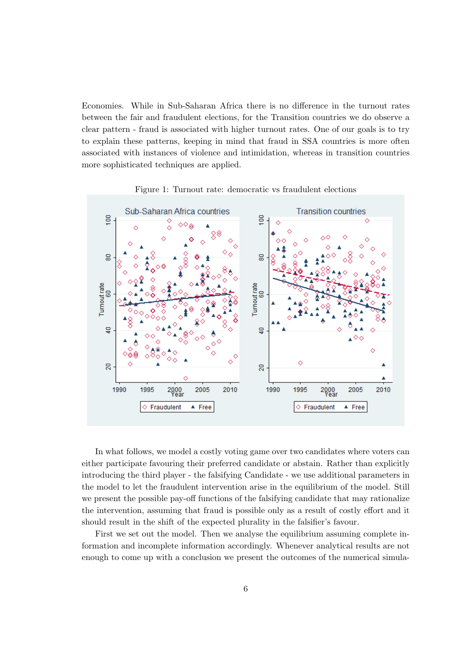Economies. While in Sub-Saharan Africa there is no difference in the turnout rates between the fair and fraudulent elections, for the Transition countries we do observe a clear pattern - fraud is associated with higher turnout rates. One of our goals is to try to explain these patterns, keeping in mind that fraud in SSA countries is more often associated with instances of violence and intimidation, whereas in transition countries more sophisticated techniques are applied.



Figure 1: Turnout rate: democratic vs fraudulent elections

In what follows, we model a costly voting game over two candidates where voters can either participate favouring their preferred candidate or abstain. Rather than explicitly introducing the third player - the falsifying Candidate - we use additional parameters in the model to let the fraudulent intervention arise in the equilibrium of the model. Still we present the possible pay-off functions of the falsifying candidate that may rationalize the intervention, assuming that fraud is possible only as a result of costly effort and it should result in the shift of the expected plurality in the falsifier's favour.

First we set out the model. Then we analyse the equilibrium assuming complete information and incomplete information accordingly. Whenever analytical results are not enough to come up with a conclusion we present the outcomes of the numerical simula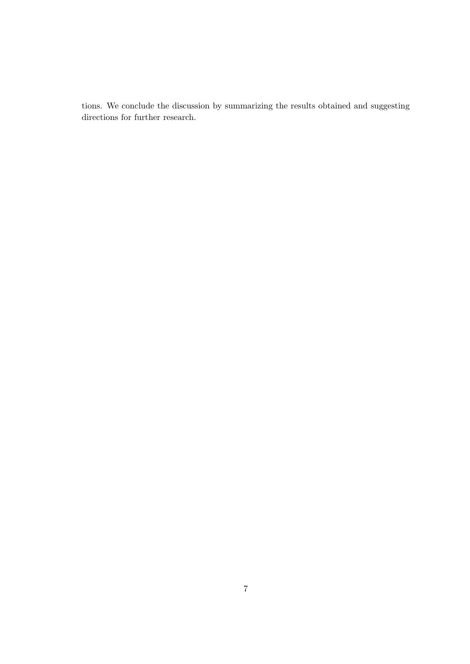tions. We conclude the discussion by summarizing the results obtained and suggesting directions for further research.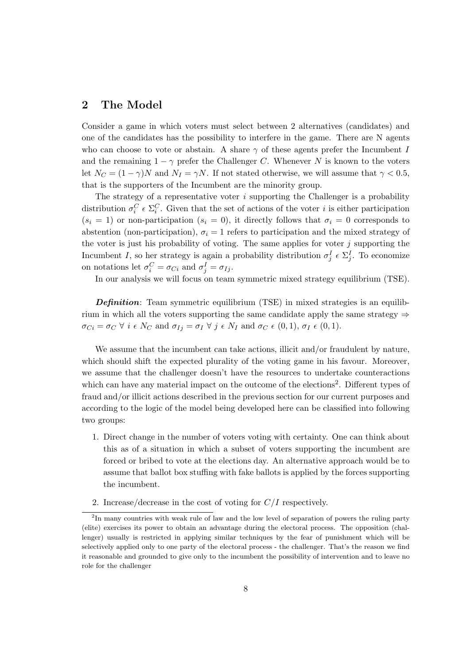## 2 The Model

Consider a game in which voters must select between 2 alternatives (candidates) and one of the candidates has the possibility to interfere in the game. There are N agents who can choose to vote or abstain. A share  $\gamma$  of these agents prefer the Incumbent I and the remaining  $1 - \gamma$  prefer the Challenger C. Whenever N is known to the voters let  $N_C = (1 - \gamma)N$  and  $N_I = \gamma N$ . If not stated otherwise, we will assume that  $\gamma < 0.5$ , that is the supporters of the Incumbent are the minority group.

The strategy of a representative voter  $i$  supporting the Challenger is a probability distribution  $\sigma_i^C \in \Sigma_i^C$ . Given that the set of actions of the voter i is either participation  $(s_i = 1)$  or non-participation  $(s_i = 0)$ , it directly follows that  $\sigma_i = 0$  corresponds to abstention (non-participation),  $\sigma_i = 1$  refers to participation and the mixed strategy of the voter is just his probability of voting. The same applies for voter  $j$  supporting the Incumbent I, so her strategy is again a probability distribution  $\sigma_j^I \in \Sigma_j^I$ . To economize on notations let  $\sigma_i^C = \sigma_{Ci}$  and  $\sigma_j^I = \sigma_{Ij}$ .

In our analysis we will focus on team symmetric mixed strategy equilibrium (TSE).

**Definition:** Team symmetric equilibrium  $(TSE)$  in mixed strategies is an equilibrium in which all the voters supporting the same candidate apply the same strategy  $\Rightarrow$  $\sigma_{Ci} = \sigma_C \ \forall \ i \ \epsilon \ N_C$  and  $\sigma_{Ij} = \sigma_I \ \forall \ j \ \epsilon \ N_I$  and  $\sigma_C \ \epsilon \ (0,1), \ \sigma_I \ \epsilon \ (0,1).$ 

We assume that the incumbent can take actions, illicit and/or fraudulent by nature, which should shift the expected plurality of the voting game in his favour. Moreover, we assume that the challenger doesn't have the resources to undertake counteractions which can have any material impact on the outcome of the elections<sup>2</sup>. Different types of fraud and/or illicit actions described in the previous section for our current purposes and according to the logic of the model being developed here can be classified into following two groups:

- 1. Direct change in the number of voters voting with certainty. One can think about this as of a situation in which a subset of voters supporting the incumbent are forced or bribed to vote at the elections day. An alternative approach would be to assume that ballot box stuffing with fake ballots is applied by the forces supporting the incumbent.
- 2. Increase/decrease in the cost of voting for  $C/I$  respectively.

<sup>&</sup>lt;sup>2</sup>In many countries with weak rule of law and the low level of separation of powers the ruling party (elite) exercises its power to obtain an advantage during the electoral process. The opposition (challenger) usually is restricted in applying similar techniques by the fear of punishment which will be selectively applied only to one party of the electoral process - the challenger. That's the reason we find it reasonable and grounded to give only to the incumbent the possibility of intervention and to leave no role for the challenger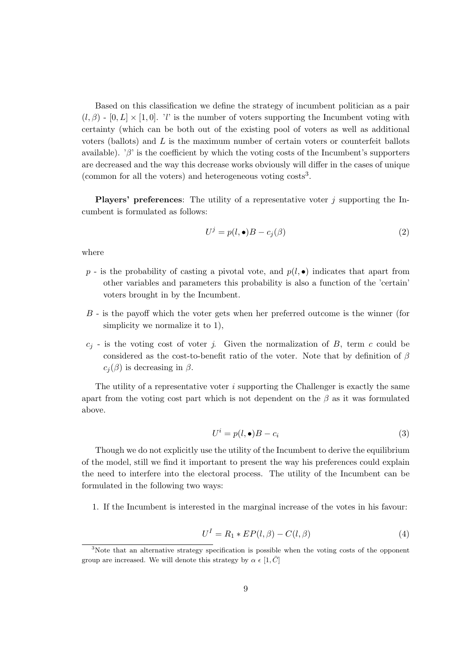Based on this classification we define the strategy of incumbent politician as a pair  $(l, \beta)$  - [0, L] × [1, 0]. 'l' is the number of voters supporting the Incumbent voting with certainty (which can be both out of the existing pool of voters as well as additional voters (ballots) and L is the maximum number of certain voters or counterfeit ballots available). ' $\beta$ ' is the coefficient by which the voting costs of the Incumbent's supporters are decreased and the way this decrease works obviously will differ in the cases of unique (common for all the voters) and heterogeneous voting costs<sup>3</sup>.

**Players' preferences:** The utility of a representative voter  $j$  supporting the Incumbent is formulated as follows:

$$
U^j = p(l, \bullet)B - c_j(\beta) \tag{2}
$$

where

- $p$  is the probability of casting a pivotal vote, and  $p(l, \bullet)$  indicates that apart from other variables and parameters this probability is also a function of the 'certain' voters brought in by the Incumbent.
- B is the payoff which the voter gets when her preferred outcome is the winner (for simplicity we normalize it to 1),
- $c_j$  is the voting cost of voter j. Given the normalization of B, term c could be considered as the cost-to-benefit ratio of the voter. Note that by definition of  $\beta$  $c_i(\beta)$  is decreasing in  $\beta$ .

The utility of a representative voter  $i$  supporting the Challenger is exactly the same apart from the voting cost part which is not dependent on the  $\beta$  as it was formulated above.

$$
U^i = p(l, \bullet)B - c_i \tag{3}
$$

Though we do not explicitly use the utility of the Incumbent to derive the equilibrium of the model, still we find it important to present the way his preferences could explain the need to interfere into the electoral process. The utility of the Incumbent can be formulated in the following two ways:

1. If the Incumbent is interested in the marginal increase of the votes in his favour:

$$
U^I = R_1 * EP(l, \beta) - C(l, \beta)
$$
\n<sup>(4)</sup>

<sup>&</sup>lt;sup>3</sup>Note that an alternative strategy specification is possible when the voting costs of the opponent group are increased. We will denote this strategy by  $\alpha \in [1, \overline{C}]$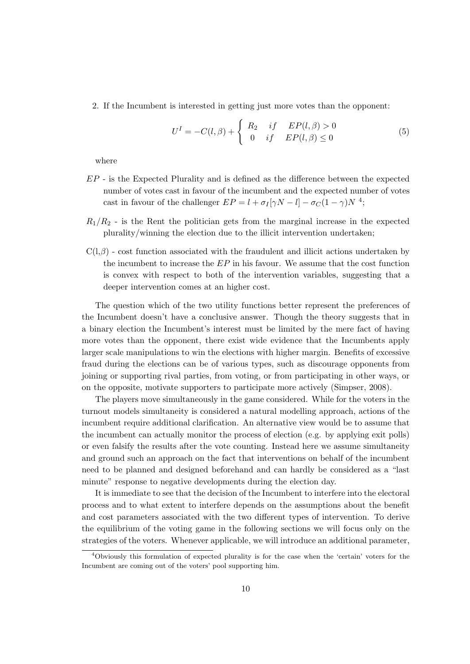2. If the Incumbent is interested in getting just more votes than the opponent:

$$
U^{I} = -C(l, \beta) + \begin{cases} R_2 & if \quad EP(l, \beta) > 0\\ 0 & if \quad EP(l, \beta) \le 0 \end{cases}
$$
 (5)

where

- EP is the Expected Plurality and is defined as the difference between the expected number of votes cast in favour of the incumbent and the expected number of votes cast in favour of the challenger  $EP = l + \sigma_I[\gamma N - l] - \sigma_C(1 - \gamma)N^{-4}$ ;
- $R_1/R_2$  is the Rent the politician gets from the marginal increase in the expected plurality/winning the election due to the illicit intervention undertaken;
- $C(1,\beta)$  cost function associated with the fraudulent and illicit actions undertaken by the incumbent to increase the  $EP$  in his favour. We assume that the cost function is convex with respect to both of the intervention variables, suggesting that a deeper intervention comes at an higher cost.

The question which of the two utility functions better represent the preferences of the Incumbent doesn't have a conclusive answer. Though the theory suggests that in a binary election the Incumbent's interest must be limited by the mere fact of having more votes than the opponent, there exist wide evidence that the Incumbents apply larger scale manipulations to win the elections with higher margin. Benefits of excessive fraud during the elections can be of various types, such as discourage opponents from joining or supporting rival parties, from voting, or from participating in other ways, or on the opposite, motivate supporters to participate more actively (Simpser, 2008).

The players move simultaneously in the game considered. While for the voters in the turnout models simultaneity is considered a natural modelling approach, actions of the incumbent require additional clarification. An alternative view would be to assume that the incumbent can actually monitor the process of election (e.g. by applying exit polls) or even falsify the results after the vote counting. Instead here we assume simultaneity and ground such an approach on the fact that interventions on behalf of the incumbent need to be planned and designed beforehand and can hardly be considered as a "last minute" response to negative developments during the election day.

It is immediate to see that the decision of the Incumbent to interfere into the electoral process and to what extent to interfere depends on the assumptions about the benefit and cost parameters associated with the two different types of intervention. To derive the equilibrium of the voting game in the following sections we will focus only on the strategies of the voters. Whenever applicable, we will introduce an additional parameter,

<sup>4</sup>Obviously this formulation of expected plurality is for the case when the 'certain' voters for the Incumbent are coming out of the voters' pool supporting him.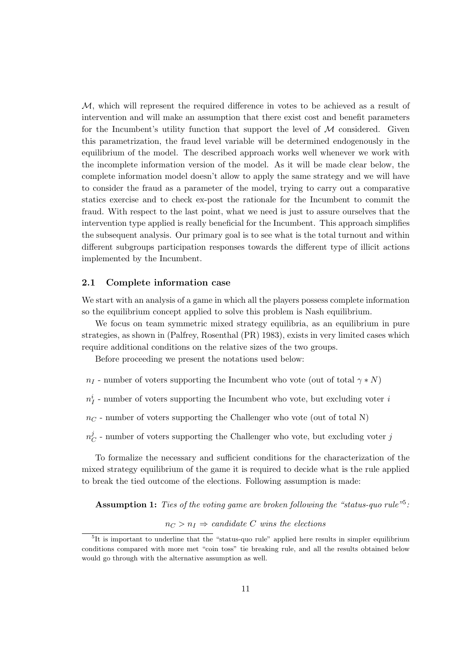M, which will represent the required difference in votes to be achieved as a result of intervention and will make an assumption that there exist cost and benefit parameters for the Incumbent's utility function that support the level of  $M$  considered. Given this parametrization, the fraud level variable will be determined endogenously in the equilibrium of the model. The described approach works well whenever we work with the incomplete information version of the model. As it will be made clear below, the complete information model doesn't allow to apply the same strategy and we will have to consider the fraud as a parameter of the model, trying to carry out a comparative statics exercise and to check ex-post the rationale for the Incumbent to commit the fraud. With respect to the last point, what we need is just to assure ourselves that the intervention type applied is really beneficial for the Incumbent. This approach simplifies the subsequent analysis. Our primary goal is to see what is the total turnout and within different subgroups participation responses towards the different type of illicit actions implemented by the Incumbent.

#### 2.1 Complete information case

We start with an analysis of a game in which all the players possess complete information so the equilibrium concept applied to solve this problem is Nash equilibrium.

We focus on team symmetric mixed strategy equilibria, as an equilibrium in pure strategies, as shown in (Palfrey, Rosenthal (PR) 1983), exists in very limited cases which require additional conditions on the relative sizes of the two groups.

Before proceeding we present the notations used below:

 $n_I$  - number of voters supporting the Incumbent who vote (out of total  $\gamma * N$ )

 $n^i_I$  - number of voters supporting the Incumbent who vote, but excluding voter  $\imath$ 

 $n<sub>C</sub>$  - number of voters supporting the Challenger who vote (out of total N)

 $n^j_\epsilon$  $\sigma_C^j$  - number of voters supporting the Challenger who vote, but excluding voter  $j$ 

To formalize the necessary and sufficient conditions for the characterization of the mixed strategy equilibrium of the game it is required to decide what is the rule applied to break the tied outcome of the elections. Following assumption is made:

**Assumption 1:** Ties of the voting game are broken following the "status-quo rule"<sup>5</sup>:

 $n_C > n_I \Rightarrow$  candidate C wins the elections

<sup>&</sup>lt;sup>5</sup>It is important to underline that the "status-quo rule" applied here results in simpler equilibrium conditions compared with more met "coin toss" tie breaking rule, and all the results obtained below would go through with the alternative assumption as well.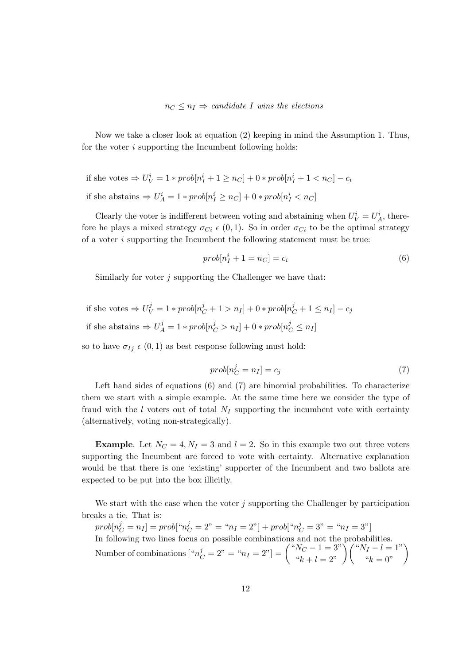Now we take a closer look at equation (2) keeping in mind the Assumption 1. Thus, for the voter  $i$  supporting the Incumbent following holds:

if she votes  $\Rightarrow U_V^i = 1 * prob[n_I^i + 1 \ge n_C] + 0 * prob[n_I^i + 1 < n_C] - c_i$ if she abstains  $\Rightarrow U_A^i = 1 * prob[n_I^i \geq n_C] + 0 * prob[n_I^i < n_C]$ 

Clearly the voter is indifferent between voting and abstaining when  $U_V^i = U_A^i$ , therefore he plays a mixed strategy  $\sigma_{Ci} \epsilon (0, 1)$ . So in order  $\sigma_{Ci}$  to be the optimal strategy of a voter i supporting the Incumbent the following statement must be true:

$$
prob[n_I^i + 1 = n_C] = c_i \tag{6}
$$

Similarly for voter  $i$  supporting the Challenger we have that:

if she votes  $\Rightarrow U_V^j = 1 * prob[n_C^j + 1 > n_I] + 0 * prob[n_C^j + 1 \le n_I] - c_j$ if she abstains  $\Rightarrow U^j_A = 1 * prob[n^j_C > n_I] + 0 * prob[n^j_C \leq n_I]$ 

so to have  $\sigma_{Ij} \epsilon (0, 1)$  as best response following must hold:

$$
prob[n_C^j = n_I] = c_j \tag{7}
$$

Left hand sides of equations (6) and (7) are binomial probabilities. To characterize them we start with a simple example. At the same time here we consider the type of fraud with the  $l$  voters out of total  $N_I$  supporting the incumbent vote with certainty (alternatively, voting non-strategically).

**Example.** Let  $N_C = 4, N_I = 3$  and  $l = 2$ . So in this example two out three voters supporting the Incumbent are forced to vote with certainty. Alternative explanation would be that there is one 'existing' supporter of the Incumbent and two ballots are expected to be put into the box illicitly.

We start with the case when the voter  $j$  supporting the Challenger by participation breaks a tie. That is:

 $prob[n_C^j = n_I] = prob["n_C^j = 2" = "n_I = 2"] + prob["n_C^j = 3" = "n_I = 3"]$ In following two lines focus on possible combinations and not the probabilities. Number of combinations  $[{}^{\omega}n_C^j = 2" = {}^{\omega}n_I = 2"]= { {}^{\omega}N_C - 1 = 3" \choose {}^{\omega}k + l = 2" } { {}^{\omega}N_I - l = 1" \choose {}^{\omega}k = 0" }$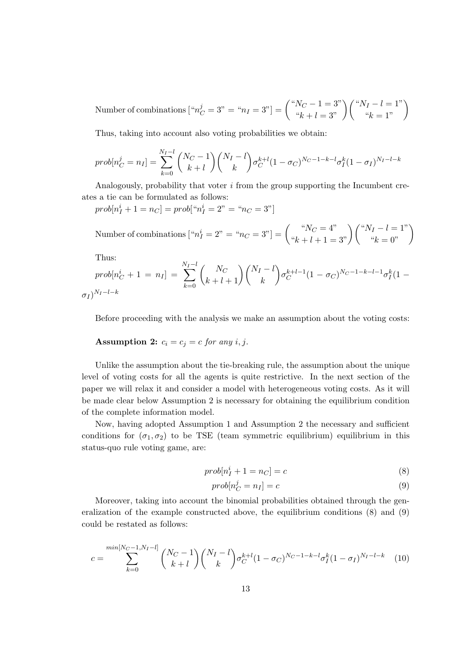Number of combinations  $[{}^{\omega}n_C^j = 3" = {}^{\omega}n_I = 3"] = \left( \begin{array}{c} {}^{\omega}N_C - 1 = 3" \ {}^{\omega}k + l = 3" \end{array} \right) \left( \begin{array}{c} {}^{\omega}N_I - l = 1" \ {}^{\omega}k = 1" \end{array} \right)$ 

Thus, taking into account also voting probabilities we obtain:

$$
prob[n_C^j = n_I] = \sum_{k=0}^{N_I - l} {N_C - 1 \choose k + l} {N_I - l \choose k} \sigma_C^{k+l} (1 - \sigma_C)^{N_C - 1 - k - l} \sigma_I^k (1 - \sigma_I)^{N_I - l - k}
$$

Analogously, probability that voter i from the group supporting the Incumbent creates a tie can be formulated as follows:

 $prob[n_I^i + 1 = n_C] = prob["n_I^i = 2" = "n_C = 3"]$ 

Number of combinations  $\left[ \begin{array}{c} ~^{\shortparallel}n_{I}^{i}=2" =\textrm{``}n_{C}=3"\end{array}\right] = \left( \begin{array}{c} ~^{\shortparallel}N_{C}=4" \ ~\textrm{``}k+l+1=3"\end{array}\right) \left( \begin{array}{c} ~^{\shortparallel}N_{I}-l=1" \ ~\textrm{``}k=0"\end{array}\right)$ 

Thus:

$$
prob[n_C^i + 1 = n_I] = \sum_{k=0}^{N_I - l} {N_C \choose k + l + 1} {N_I - l \choose k} \sigma_C^{k + l - 1} (1 - \sigma_C)^{N_C - 1 - k - l - 1} \sigma_I^k (1 - \sigma_I)^{N_I - l - k}
$$

Before proceeding with the analysis we make an assumption about the voting costs:

**Assumption 2:** 
$$
c_i = c_j = c
$$
 for any  $i, j$ .

Unlike the assumption about the tie-breaking rule, the assumption about the unique level of voting costs for all the agents is quite restrictive. In the next section of the paper we will relax it and consider a model with heterogeneous voting costs. As it will be made clear below Assumption 2 is necessary for obtaining the equilibrium condition of the complete information model.

Now, having adopted Assumption 1 and Assumption 2 the necessary and sufficient conditions for  $(\sigma_1, \sigma_2)$  to be TSE (team symmetric equilibrium) equilibrium in this status-quo rule voting game, are:

$$
prob[n_I^i + 1 = n_C] = c \tag{8}
$$

$$
prob[n_C^j = n_I] = c \tag{9}
$$

Moreover, taking into account the binomial probabilities obtained through the generalization of the example constructed above, the equilibrium conditions (8) and (9) could be restated as follows:

$$
c = \sum_{k=0}^{\min[N_C-1, N_I-l]} \binom{N_C-1}{k+l} \binom{N_I-l}{k} \sigma_C^{k+l} (1-\sigma_C)^{N_C-1-k-l} \sigma_I^k (1-\sigma_I)^{N_I-l-k} \tag{10}
$$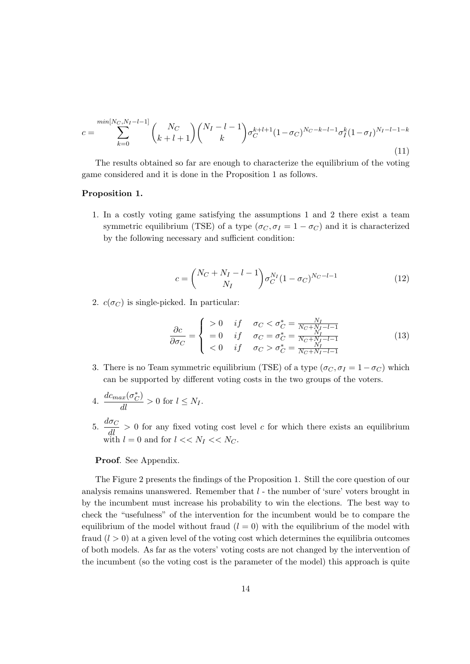$$
c = \sum_{k=0}^{\min[N_C, N_I - l - 1]} \binom{N_C}{k+l+1} \binom{N_I - l - 1}{k} \sigma_C^{k+l+1} (1 - \sigma_C)^{N_C - k - l - 1} \sigma_I^k (1 - \sigma_I)^{N_I - l - 1 - k}
$$
\n(11)

The results obtained so far are enough to characterize the equilibrium of the voting game considered and it is done in the Proposition 1 as follows.

#### Proposition 1.

1. In a costly voting game satisfying the assumptions 1 and 2 there exist a team symmetric equilibrium (TSE) of a type ( $\sigma_C$ ,  $\sigma_I = 1 - \sigma_C$ ) and it is characterized by the following necessary and sufficient condition:

$$
c = \binom{N_C + N_I - l - 1}{N_I} \sigma_C^{N_I} (1 - \sigma_C)^{N_C - l - 1} \tag{12}
$$

2.  $c(\sigma_C)$  is single-picked. In particular:

$$
\frac{\partial c}{\partial \sigma_C} = \begin{cases}\n>0 & if & \sigma_C < \sigma_C^* = \frac{N_I}{N_C + N_I - l - 1} \\
=0 & if & \sigma_C = \sigma_C^* = \frac{N_I}{N_C + N_I - l - 1} \\
<0 & if & \sigma_C > \sigma_C^* = \frac{N_I}{N_C + N_I - l - 1}\n\end{cases}
$$
\n(13)

3. There is no Team symmetric equilibrium (TSE) of a type  $(\sigma_C, \sigma_I = 1 - \sigma_C)$  which can be supported by different voting costs in the two groups of the voters.

4. 
$$
\frac{dc_{max}(\sigma_C^*)}{dl} > 0 \text{ for } l \leq N_I.
$$

5.  $\frac{d\sigma_C}{dl} > 0$  for any fixed voting cost level c for which there exists an equilibrium with  $l = 0$  and for  $l \ll N_I \ll N_C$ .

#### Proof. See Appendix.

The Figure 2 presents the findings of the Proposition 1. Still the core question of our analysis remains unanswered. Remember that  $l$  - the number of 'sure' voters brought in by the incumbent must increase his probability to win the elections. The best way to check the "usefulness" of the intervention for the incumbent would be to compare the equilibrium of the model without fraud  $(l = 0)$  with the equilibrium of the model with fraud  $(l > 0)$  at a given level of the voting cost which determines the equilibria outcomes of both models. As far as the voters' voting costs are not changed by the intervention of the incumbent (so the voting cost is the parameter of the model) this approach is quite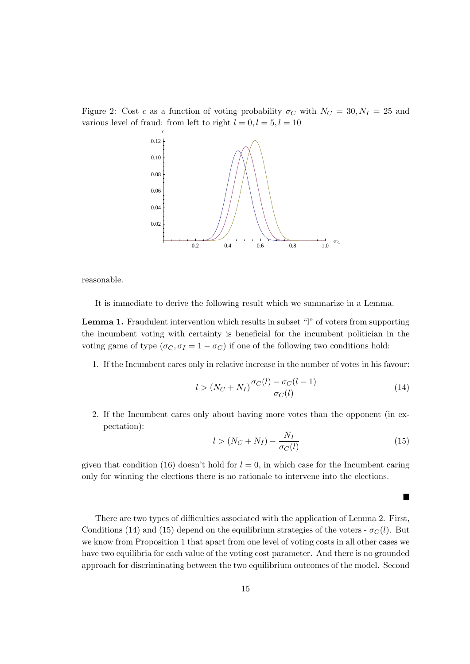Figure 2: Cost c as a function of voting probability  $\sigma_C$  with  $N_C = 30, N_I = 25$  and various level of fraud: from left to right  $l = 0, l = 5, l = 10$ 



reasonable.

It is immediate to derive the following result which we summarize in a Lemma.

Lemma 1. Fraudulent intervention which results in subset "l" of voters from supporting the incumbent voting with certainty is beneficial for the incumbent politician in the voting game of type  $(\sigma_C, \sigma_I = 1 - \sigma_C)$  if one of the following two conditions hold:

1. If the Incumbent cares only in relative increase in the number of votes in his favour:

$$
l > (N_C + N_I) \frac{\sigma_C(l) - \sigma_C(l-1)}{\sigma_C(l)}
$$
\n
$$
(14)
$$

2. If the Incumbent cares only about having more votes than the opponent (in expectation):

$$
l > (N_C + N_I) - \frac{N_I}{\sigma_C(l)}\tag{15}
$$

П

given that condition (16) doesn't hold for  $l = 0$ , in which case for the Incumbent caring only for winning the elections there is no rationale to intervene into the elections.

There are two types of difficulties associated with the application of Lemma 2. First, Conditions (14) and (15) depend on the equilibrium strategies of the voters -  $\sigma_C(l)$ . But we know from Proposition 1 that apart from one level of voting costs in all other cases we have two equilibria for each value of the voting cost parameter. And there is no grounded approach for discriminating between the two equilibrium outcomes of the model. Second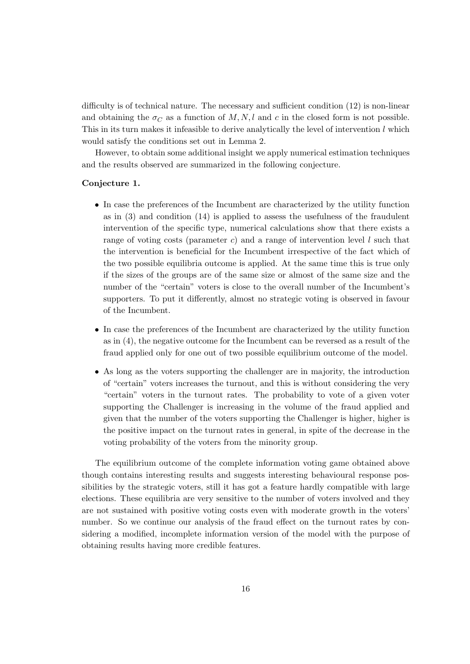difficulty is of technical nature. The necessary and sufficient condition (12) is non-linear and obtaining the  $\sigma_C$  as a function of M, N, l and c in the closed form is not possible. This in its turn makes it infeasible to derive analytically the level of intervention  $l$  which would satisfy the conditions set out in Lemma 2.

However, to obtain some additional insight we apply numerical estimation techniques and the results observed are summarized in the following conjecture.

#### Conjecture 1.

- In case the preferences of the Incumbent are characterized by the utility function as in (3) and condition (14) is applied to assess the usefulness of the fraudulent intervention of the specific type, numerical calculations show that there exists a range of voting costs (parameter c) and a range of intervention level  $l$  such that the intervention is beneficial for the Incumbent irrespective of the fact which of the two possible equilibria outcome is applied. At the same time this is true only if the sizes of the groups are of the same size or almost of the same size and the number of the "certain" voters is close to the overall number of the Incumbent's supporters. To put it differently, almost no strategic voting is observed in favour of the Incumbent.
- In case the preferences of the Incumbent are characterized by the utility function as in (4), the negative outcome for the Incumbent can be reversed as a result of the fraud applied only for one out of two possible equilibrium outcome of the model.
- As long as the voters supporting the challenger are in majority, the introduction of "certain" voters increases the turnout, and this is without considering the very "certain" voters in the turnout rates. The probability to vote of a given voter supporting the Challenger is increasing in the volume of the fraud applied and given that the number of the voters supporting the Challenger is higher, higher is the positive impact on the turnout rates in general, in spite of the decrease in the voting probability of the voters from the minority group.

The equilibrium outcome of the complete information voting game obtained above though contains interesting results and suggests interesting behavioural response possibilities by the strategic voters, still it has got a feature hardly compatible with large elections. These equilibria are very sensitive to the number of voters involved and they are not sustained with positive voting costs even with moderate growth in the voters' number. So we continue our analysis of the fraud effect on the turnout rates by considering a modified, incomplete information version of the model with the purpose of obtaining results having more credible features.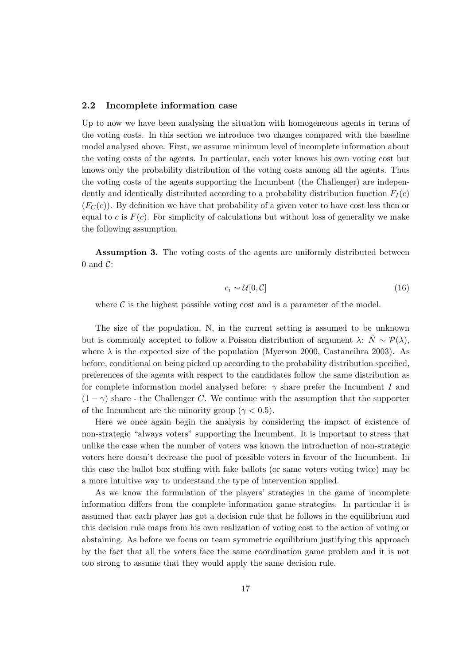#### 2.2 Incomplete information case

Up to now we have been analysing the situation with homogeneous agents in terms of the voting costs. In this section we introduce two changes compared with the baseline model analysed above. First, we assume minimum level of incomplete information about the voting costs of the agents. In particular, each voter knows his own voting cost but knows only the probability distribution of the voting costs among all the agents. Thus the voting costs of the agents supporting the Incumbent (the Challenger) are independently and identically distributed according to a probability distribution function  $F_I(c)$  $(F_C(c))$ . By definition we have that probability of a given voter to have cost less then or equal to c is  $F(c)$ . For simplicity of calculations but without loss of generality we make the following assumption.

Assumption 3. The voting costs of the agents are uniformly distributed between 0 and  $\mathcal{C}$ :

$$
c_i \sim \mathcal{U}[0, \mathcal{C}] \tag{16}
$$

where  $\mathcal C$  is the highest possible voting cost and is a parameter of the model.

The size of the population, N, in the current setting is assumed to be unknown but is commonly accepted to follow a Poisson distribution of argument  $\lambda: \tilde{N} \sim \mathcal{P}(\lambda)$ , where  $\lambda$  is the expected size of the population (Myerson 2000, Castaneihra 2003). As before, conditional on being picked up according to the probability distribution specified, preferences of the agents with respect to the candidates follow the same distribution as for complete information model analysed before:  $\gamma$  share prefer the Incumbent I and  $(1 - \gamma)$  share - the Challenger C. We continue with the assumption that the supporter of the Incumbent are the minority group ( $\gamma < 0.5$ ).

Here we once again begin the analysis by considering the impact of existence of non-strategic "always voters" supporting the Incumbent. It is important to stress that unlike the case when the number of voters was known the introduction of non-strategic voters here doesn't decrease the pool of possible voters in favour of the Incumbent. In this case the ballot box stuffing with fake ballots (or same voters voting twice) may be a more intuitive way to understand the type of intervention applied.

As we know the formulation of the players' strategies in the game of incomplete information differs from the complete information game strategies. In particular it is assumed that each player has got a decision rule that he follows in the equilibrium and this decision rule maps from his own realization of voting cost to the action of voting or abstaining. As before we focus on team symmetric equilibrium justifying this approach by the fact that all the voters face the same coordination game problem and it is not too strong to assume that they would apply the same decision rule.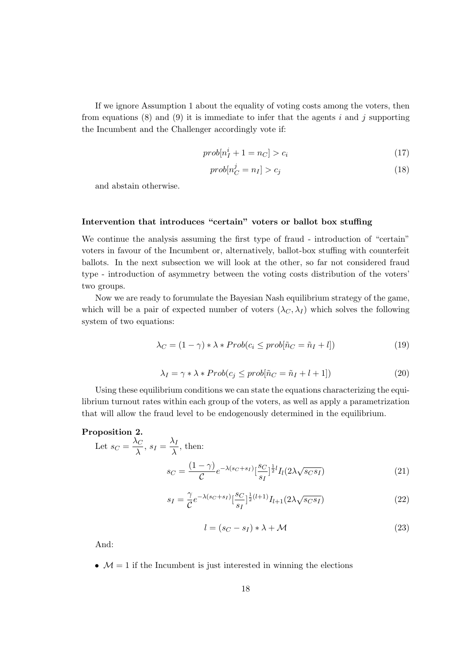If we ignore Assumption 1 about the equality of voting costs among the voters, then from equations  $(8)$  and  $(9)$  it is immediate to infer that the agents i and j supporting the Incumbent and the Challenger accordingly vote if:

$$
prob[n_I^i + 1 = n_C] > c_i \tag{17}
$$

$$
prob[n_C^j = n_I] > c_j \tag{18}
$$

and abstain otherwise.

### Intervention that introduces "certain" voters or ballot box stuffing

We continue the analysis assuming the first type of fraud - introduction of "certain" voters in favour of the Incumbent or, alternatively, ballot-box stuffing with counterfeit ballots. In the next subsection we will look at the other, so far not considered fraud type - introduction of asymmetry between the voting costs distribution of the voters' two groups.

Now we are ready to forumulate the Bayesian Nash equilibrium strategy of the game, which will be a pair of expected number of voters  $(\lambda_C, \lambda_I)$  which solves the following system of two equations:

$$
\lambda_C = (1 - \gamma) * \lambda * Prob(c_i \le prob[\tilde{n}_C = \tilde{n}_I + l])
$$
\n(19)

$$
\lambda_I = \gamma * \lambda * Prob(c_j \le prob[\tilde{n}_C = \tilde{n}_I + l + 1])
$$
\n(20)

Using these equilibrium conditions we can state the equations characterizing the equilibrium turnout rates within each group of the voters, as well as apply a parametrization that will allow the fraud level to be endogenously determined in the equilibrium.

#### Proposition 2.

Let 
$$
s_C = \frac{\lambda_C}{\lambda}
$$
,  $s_I = \frac{\lambda_I}{\lambda}$ , then:  

$$
s_C = \frac{(1 - \gamma)}{C} e^{-\lambda (s_C + s_I)} \left[ \frac{s_C}{s_I} \right]^{\frac{1}{2}l} I_l(2\lambda \sqrt{s_C s_I})
$$
(21)

$$
s_I = \frac{\gamma}{C} e^{-\lambda (s_C + s_I)} \left[ \frac{s_C}{s_I} \right]^{\frac{1}{2}(l+1)} I_{l+1}(2\lambda \sqrt{s_C s_I}) \tag{22}
$$

$$
l = (s_C - s_I) * \lambda + \mathcal{M}
$$
\n(23)

And:

•  $\mathcal{M} = 1$  if the Incumbent is just interested in winning the elections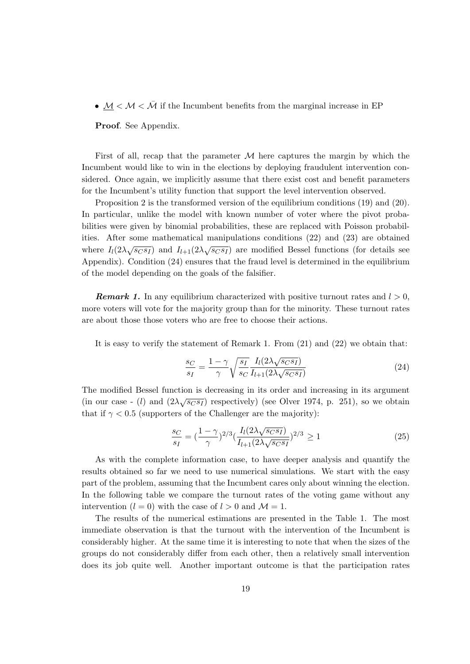•  $M < M < \overline{M}$  if the Incumbent benefits from the marginal increase in EP

Proof. See Appendix.

First of all, recap that the parameter  $M$  here captures the margin by which the Incumbent would like to win in the elections by deploying fraudulent intervention considered. Once again, we implicitly assume that there exist cost and benefit parameters for the Incumbent's utility function that support the level intervention observed.

Proposition 2 is the transformed version of the equilibrium conditions (19) and (20). In particular, unlike the model with known number of voter where the pivot probabilities were given by binomial probabilities, these are replaced with Poisson probabilities. After some mathematical manipulations conditions (22) and (23) are obtained where  $I_l(2\lambda\sqrt{s_C s_I})$  and  $I_{l+1}(2\lambda\sqrt{s_C s_I})$  are modified Bessel functions (for details see Appendix). Condition (24) ensures that the fraud level is determined in the equilibrium of the model depending on the goals of the falsifier.

**Remark 1.** In any equilibrium characterized with positive turnout rates and  $l > 0$ , more voters will vote for the majority group than for the minority. These turnout rates are about those those voters who are free to choose their actions.

It is easy to verify the statement of Remark 1. From (21) and (22) we obtain that:

$$
\frac{s_C}{s_I} = \frac{1 - \gamma}{\gamma} \sqrt{\frac{s_I}{s_C} \frac{I_l(2\lambda\sqrt{s_C s_I})}{I_{l+1}(2\lambda\sqrt{s_C s_I})}}
$$
(24)

The modified Bessel function is decreasing in its order and increasing in its argument (in our case - (*l*) and  $(2\lambda\sqrt{s_{CS}}r)$  respectively) (see Olver 1974, p. 251), so we obtain that if  $\gamma < 0.5$  (supporters of the Challenger are the majority):

$$
\frac{s_C}{s_I} = \left(\frac{1-\gamma}{\gamma}\right)^{2/3} \left(\frac{I_l(2\lambda\sqrt{s_C s_I})}{I_{l+1}(2\lambda\sqrt{s_C s_I})}\right)^{2/3} \ge 1\tag{25}
$$

As with the complete information case, to have deeper analysis and quantify the results obtained so far we need to use numerical simulations. We start with the easy part of the problem, assuming that the Incumbent cares only about winning the election. In the following table we compare the turnout rates of the voting game without any intervention  $(l = 0)$  with the case of  $l > 0$  and  $\mathcal{M} = 1$ .

The results of the numerical estimations are presented in the Table 1. The most immediate observation is that the turnout with the intervention of the Incumbent is considerably higher. At the same time it is interesting to note that when the sizes of the groups do not considerably differ from each other, then a relatively small intervention does its job quite well. Another important outcome is that the participation rates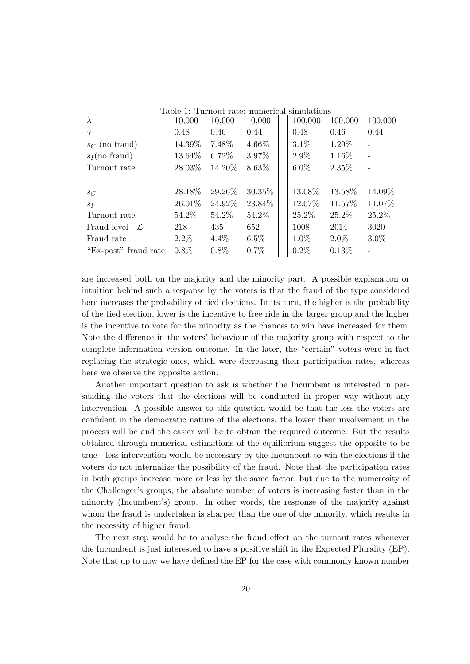| Table 1: Turnout rate: numerical simulations |         |         |          |  |         |         |                   |
|----------------------------------------------|---------|---------|----------|--|---------|---------|-------------------|
| $\lambda$                                    | 10,000  | 10,000  | 10,000   |  | 100,000 | 100,000 | 100,000           |
| $\gamma$                                     | 0.48    | 0.46    | 0.44     |  | 0.48    | 0.46    | 0.44              |
| $s_C$ (no fraud)                             | 14.39%  | 7.48%   | $4.66\%$ |  | 3.1%    | 1.29%   |                   |
| $s_I$ (no fraud)                             | 13.64%  | 6.72%   | 3.97%    |  | 2.9%    | 1.16%   |                   |
| Turnout rate                                 | 28.03\% | 14.20\% | 8.63%    |  | $6.0\%$ | 2.35%   | $\qquad \qquad -$ |
|                                              |         |         |          |  |         |         |                   |
| $s_C$                                        | 28.18%  | 29.26%  | 30.35%   |  | 13.08%  | 13.58%  | 14.09%            |
| $S_I$                                        | 26.01%  | 24.92%  | 23.84%   |  | 12.07%  | 11.57%  | 11.07%            |
| Turnout rate                                 | 54.2\%  | 54.2%   | 54.2\%   |  | 25.2%   | 25.2%   | 25.2%             |
| Fraud level - $\mathcal{L}$                  | 218     | 435     | 652      |  | 1008    | 2014    | 3020              |
| Fraud rate                                   | $2.2\%$ | $4.4\%$ | $6.5\%$  |  | 1.0%    | $2.0\%$ | $3.0\%$           |
| "Ex-post" fraud rate                         | $0.8\%$ | $0.8\%$ | $0.7\%$  |  | 0.2%    | 0.13%   |                   |

are increased both on the majority and the minority part. A possible explanation or intuition behind such a response by the voters is that the fraud of the type considered here increases the probability of tied elections. In its turn, the higher is the probability of the tied election, lower is the incentive to free ride in the larger group and the higher is the incentive to vote for the minority as the chances to win have increased for them. Note the difference in the voters' behaviour of the majority group with respect to the complete information version outcome. In the later, the "certain" voters were in fact replacing the strategic ones, which were decreasing their participation rates, whereas here we observe the opposite action.

Another important question to ask is whether the Incumbent is interested in persuading the voters that the elections will be conducted in proper way without any intervention. A possible answer to this question would be that the less the voters are confident in the democratic nature of the elections, the lower their involvement in the process will be and the easier will be to obtain the required outcome. But the results obtained through numerical estimations of the equilibrium suggest the opposite to be true - less intervention would be necessary by the Incumbent to win the elections if the voters do not internalize the possibility of the fraud. Note that the participation rates in both groups increase more or less by the same factor, but due to the numerosity of the Challenger's groups, the absolute number of voters is increasing faster than in the minority (Incumbent's) group. In other words, the response of the majority against whom the fraud is undertaken is sharper than the one of the minority, which results in the necessity of higher fraud.

The next step would be to analyse the fraud effect on the turnout rates whenever the Incumbent is just interested to have a positive shift in the Expected Plurality (EP). Note that up to now we have defined the EP for the case with commonly known number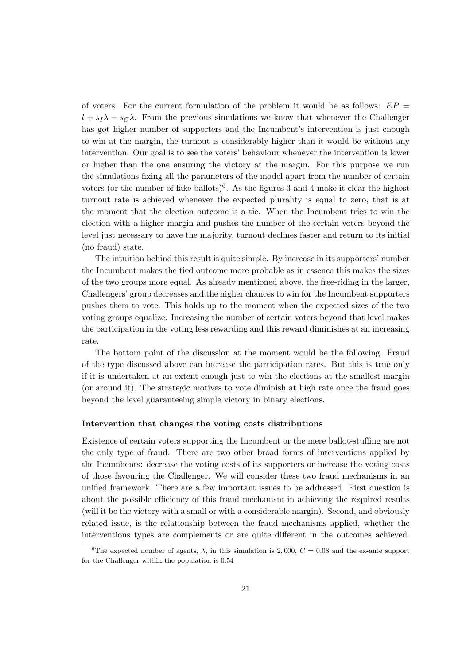of voters. For the current formulation of the problem it would be as follows:  $EP =$  $l + s_I\lambda - s_C\lambda$ . From the previous simulations we know that whenever the Challenger has got higher number of supporters and the Incumbent's intervention is just enough to win at the margin, the turnout is considerably higher than it would be without any intervention. Our goal is to see the voters' behaviour whenever the intervention is lower or higher than the one ensuring the victory at the margin. For this purpose we run the simulations fixing all the parameters of the model apart from the number of certain voters (or the number of fake ballots)<sup>6</sup>. As the figures 3 and 4 make it clear the highest turnout rate is achieved whenever the expected plurality is equal to zero, that is at the moment that the election outcome is a tie. When the Incumbent tries to win the election with a higher margin and pushes the number of the certain voters beyond the level just necessary to have the majority, turnout declines faster and return to its initial (no fraud) state.

The intuition behind this result is quite simple. By increase in its supporters' number the Incumbent makes the tied outcome more probable as in essence this makes the sizes of the two groups more equal. As already mentioned above, the free-riding in the larger, Challengers' group decreases and the higher chances to win for the Incumbent supporters pushes them to vote. This holds up to the moment when the expected sizes of the two voting groups equalize. Increasing the number of certain voters beyond that level makes the participation in the voting less rewarding and this reward diminishes at an increasing rate.

The bottom point of the discussion at the moment would be the following. Fraud of the type discussed above can increase the participation rates. But this is true only if it is undertaken at an extent enough just to win the elections at the smallest margin (or around it). The strategic motives to vote diminish at high rate once the fraud goes beyond the level guaranteeing simple victory in binary elections.

#### Intervention that changes the voting costs distributions

Existence of certain voters supporting the Incumbent or the mere ballot-stuffing are not the only type of fraud. There are two other broad forms of interventions applied by the Incumbents: decrease the voting costs of its supporters or increase the voting costs of those favouring the Challenger. We will consider these two fraud mechanisms in an unified framework. There are a few important issues to be addressed. First question is about the possible efficiency of this fraud mechanism in achieving the required results (will it be the victory with a small or with a considerable margin). Second, and obviously related issue, is the relationship between the fraud mechanisms applied, whether the interventions types are complements or are quite different in the outcomes achieved.

<sup>&</sup>lt;sup>6</sup>The expected number of agents,  $\lambda$ , in this simulation is 2,000,  $C = 0.08$  and the ex-ante support for the Challenger within the population is 0.54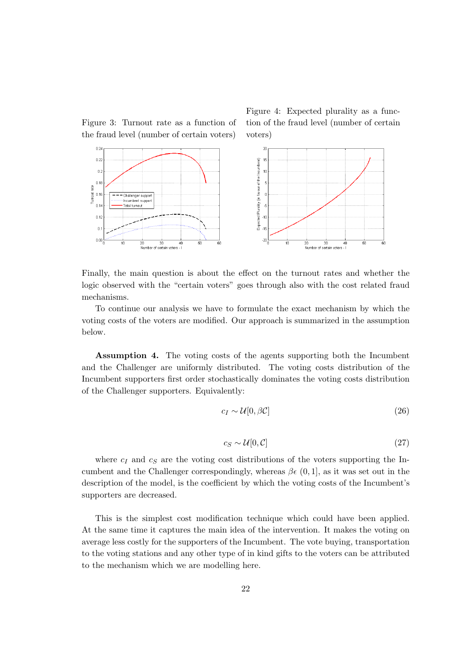Figure 3: Turnout rate as a function of the fraud level (number of certain voters)

 $0.2$ 



Figure 4: Expected plurality as a func-



Finally, the main question is about the effect on the turnout rates and whether the logic observed with the "certain voters" goes through also with the cost related fraud mechanisms.

To continue our analysis we have to formulate the exact mechanism by which the voting costs of the voters are modified. Our approach is summarized in the assumption below.

Assumption 4. The voting costs of the agents supporting both the Incumbent and the Challenger are uniformly distributed. The voting costs distribution of the Incumbent supporters first order stochastically dominates the voting costs distribution of the Challenger supporters. Equivalently:

$$
c_I \sim \mathcal{U}[0, \beta \mathcal{C}] \tag{26}
$$

$$
c_S \sim \mathcal{U}[0, \mathcal{C}] \tag{27}
$$

where  $c_I$  and  $c_S$  are the voting cost distributions of the voters supporting the Incumbent and the Challenger correspondingly, whereas  $\beta \epsilon$  (0, 1], as it was set out in the description of the model, is the coefficient by which the voting costs of the Incumbent's supporters are decreased.

This is the simplest cost modification technique which could have been applied. At the same time it captures the main idea of the intervention. It makes the voting on average less costly for the supporters of the Incumbent. The vote buying, transportation to the voting stations and any other type of in kind gifts to the voters can be attributed to the mechanism which we are modelling here.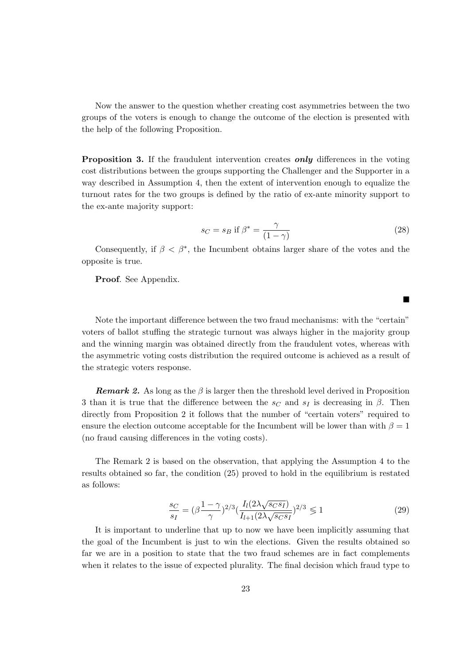Now the answer to the question whether creating cost asymmetries between the two groups of the voters is enough to change the outcome of the election is presented with the help of the following Proposition.

**Proposition 3.** If the fraudulent intervention creates **only** differences in the voting cost distributions between the groups supporting the Challenger and the Supporter in a way described in Assumption 4, then the extent of intervention enough to equalize the turnout rates for the two groups is defined by the ratio of ex-ante minority support to the ex-ante majority support:

$$
s_C = s_B \text{ if } \beta^* = \frac{\gamma}{(1-\gamma)}\tag{28}
$$

 $\blacksquare$ 

Consequently, if  $\beta < \beta^*$ , the Incumbent obtains larger share of the votes and the opposite is true.

Proof. See Appendix.

Note the important difference between the two fraud mechanisms: with the "certain" voters of ballot stuffing the strategic turnout was always higher in the majority group and the winning margin was obtained directly from the fraudulent votes, whereas with the asymmetric voting costs distribution the required outcome is achieved as a result of the strategic voters response.

**Remark 2.** As long as the  $\beta$  is larger then the threshold level derived in Proposition 3 than it is true that the difference between the  $s_C$  and  $s_I$  is decreasing in  $\beta$ . Then directly from Proposition 2 it follows that the number of "certain voters" required to ensure the election outcome acceptable for the Incumbent will be lower than with  $\beta = 1$ (no fraud causing differences in the voting costs).

The Remark 2 is based on the observation, that applying the Assumption 4 to the results obtained so far, the condition (25) proved to hold in the equilibrium is restated as follows:

$$
\frac{s_C}{s_I} = (\beta \frac{1 - \gamma}{\gamma})^{2/3} \left( \frac{I_l (2\lambda \sqrt{s_C s_I})}{I_{l+1} (2\lambda \sqrt{s_C s_I})} \right)^{2/3} \leq 1
$$
\n(29)

It is important to underline that up to now we have been implicitly assuming that the goal of the Incumbent is just to win the elections. Given the results obtained so far we are in a position to state that the two fraud schemes are in fact complements when it relates to the issue of expected plurality. The final decision which fraud type to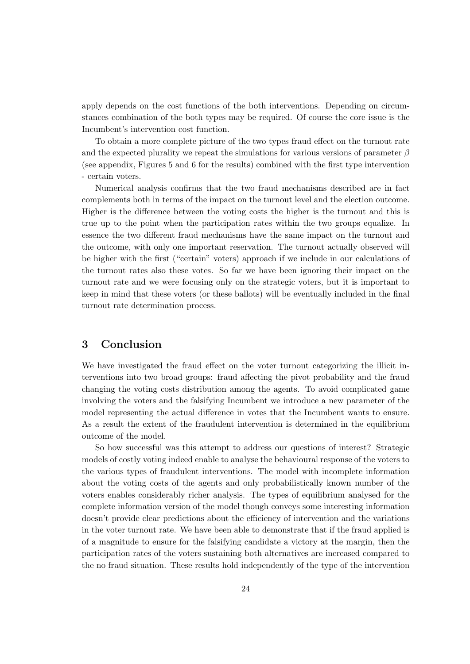apply depends on the cost functions of the both interventions. Depending on circumstances combination of the both types may be required. Of course the core issue is the Incumbent's intervention cost function.

To obtain a more complete picture of the two types fraud effect on the turnout rate and the expected plurality we repeat the simulations for various versions of parameter  $\beta$ (see appendix, Figures 5 and 6 for the results) combined with the first type intervention - certain voters.

Numerical analysis confirms that the two fraud mechanisms described are in fact complements both in terms of the impact on the turnout level and the election outcome. Higher is the difference between the voting costs the higher is the turnout and this is true up to the point when the participation rates within the two groups equalize. In essence the two different fraud mechanisms have the same impact on the turnout and the outcome, with only one important reservation. The turnout actually observed will be higher with the first ("certain" voters) approach if we include in our calculations of the turnout rates also these votes. So far we have been ignoring their impact on the turnout rate and we were focusing only on the strategic voters, but it is important to keep in mind that these voters (or these ballots) will be eventually included in the final turnout rate determination process.

# 3 Conclusion

We have investigated the fraud effect on the voter turnout categorizing the illicit interventions into two broad groups: fraud affecting the pivot probability and the fraud changing the voting costs distribution among the agents. To avoid complicated game involving the voters and the falsifying Incumbent we introduce a new parameter of the model representing the actual difference in votes that the Incumbent wants to ensure. As a result the extent of the fraudulent intervention is determined in the equilibrium outcome of the model.

So how successful was this attempt to address our questions of interest? Strategic models of costly voting indeed enable to analyse the behavioural response of the voters to the various types of fraudulent interventions. The model with incomplete information about the voting costs of the agents and only probabilistically known number of the voters enables considerably richer analysis. The types of equilibrium analysed for the complete information version of the model though conveys some interesting information doesn't provide clear predictions about the efficiency of intervention and the variations in the voter turnout rate. We have been able to demonstrate that if the fraud applied is of a magnitude to ensure for the falsifying candidate a victory at the margin, then the participation rates of the voters sustaining both alternatives are increased compared to the no fraud situation. These results hold independently of the type of the intervention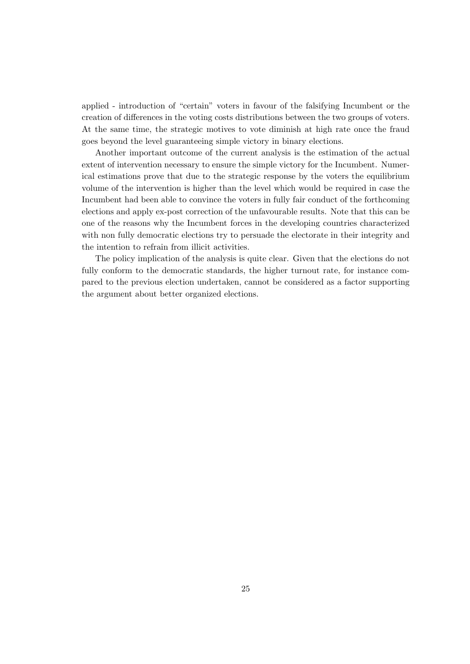applied - introduction of "certain" voters in favour of the falsifying Incumbent or the creation of differences in the voting costs distributions between the two groups of voters. At the same time, the strategic motives to vote diminish at high rate once the fraud goes beyond the level guaranteeing simple victory in binary elections.

Another important outcome of the current analysis is the estimation of the actual extent of intervention necessary to ensure the simple victory for the Incumbent. Numerical estimations prove that due to the strategic response by the voters the equilibrium volume of the intervention is higher than the level which would be required in case the Incumbent had been able to convince the voters in fully fair conduct of the forthcoming elections and apply ex-post correction of the unfavourable results. Note that this can be one of the reasons why the Incumbent forces in the developing countries characterized with non fully democratic elections try to persuade the electorate in their integrity and the intention to refrain from illicit activities.

The policy implication of the analysis is quite clear. Given that the elections do not fully conform to the democratic standards, the higher turnout rate, for instance compared to the previous election undertaken, cannot be considered as a factor supporting the argument about better organized elections.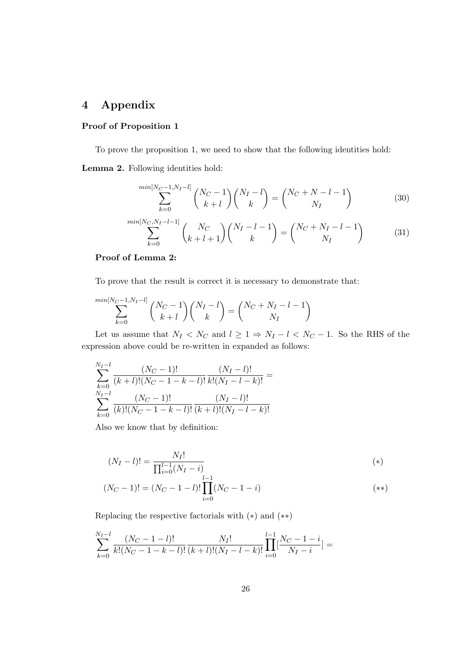# 4 Appendix

## Proof of Proposition 1

To prove the proposition 1, we need to show that the following identities hold:

Lemma 2. Following identities hold:

$$
\sum_{k=0}^{\min[N_C-1, N_I-l]} \binom{N_C-1}{k+l} \binom{N_I-l}{k} = \binom{N_C+N-l-1}{N_I} \tag{30}
$$

$$
\sum_{k=0}^{\min[N_C, N_I - l - 1]} \binom{N_C}{k + l + 1} \binom{N_I - l - 1}{k} = \binom{N_C + N_I - l - 1}{N_I} \tag{31}
$$

## Proof of Lemma 2:

To prove that the result is correct it is necessary to demonstrate that:

$$
\sum_{k=0}^{\min[N_C-1, N_I-l]} \binom{N_C-1}{k+l} \binom{N_I-l}{k} = \binom{N_C+N_I-l-1}{N_I}
$$

Let us assume that  $N_I < N_C$  and  $l \geq 1 \Rightarrow N_I - l < N_C - 1$ . So the RHS of the expression above could be re-written in expanded as follows:

$$
\sum_{k=0}^{N_I-l} \frac{(N_C-1)!}{(k+l)!(N_C-1-k-l)!} \frac{(N_I-l)!}{k!(N_I-l-k)!} =
$$
  

$$
\sum_{k=0}^{N_I-l} \frac{(N_C-1)!}{(k)!(N_C-1-k-l)!} \frac{(N_I-l)!}{(k+l)!(N_I-l-k)!}
$$

Also we know that by definition:

$$
(N_I - l)! = \frac{N_I!}{\prod_{i=0}^{l-1} (N_I - i)} \tag{*}
$$

$$
(N_C - 1)! = (N_C - 1 - l)! \prod_{i=0}^{l-1} (N_C - 1 - i)
$$
\n
$$
(**)
$$

Replacing the respective factorials with (∗) and (∗∗)

$$
\sum_{k=0}^{N_I-l} \frac{(N_C-1-l)!}{k!(N_C-1-k-l)!} \frac{N_I!}{(k+l)!(N_I-l-k)!} \prod_{i=0}^{l-1} \frac{N_C-1-i}{N_I-i} =
$$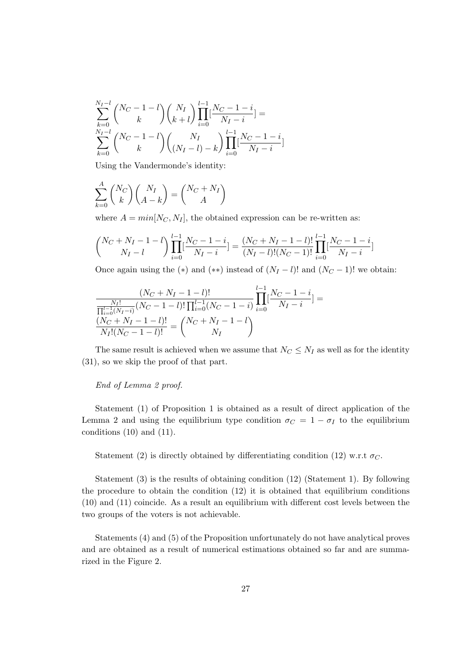$$
\sum_{k=0}^{N_I-l} {N_C - 1 - l \choose k} {N_I \choose k+l} \prod_{i=0}^{l-1} \frac{N_C - 1 - i}{N_I - i} =
$$
\n
$$
\sum_{k=0}^{N_I-l} {N_C - 1 - l \choose k} {N_I \choose (N_I - l) - k} \prod_{i=0}^{l-1} \frac{N_C - 1 - i}{N_I - i}
$$

Using the Vandermonde's identity:

$$
\sum_{k=0}^{A} \binom{N_C}{k} \binom{N_I}{A-k} = \binom{N_C + N_I}{A}
$$

where  $A = min[N_C, N_I]$ , the obtained expression can be re-written as:

$$
\binom{N_C+N_I-1-l}{N_I-l} \prod_{i=0}^{l-1} \left[\frac{N_C-1-i}{N_I-i}\right] = \frac{(N_C+N_I-1-l)!}{(N_I-l)!(N_C-1)!} \prod_{i=0}^{l-1} \left[\frac{N_C-1-i}{N_I-i}\right]
$$

Once again using the (\*) and (\*\*) instead of  $(N_I - l)!$  and  $(N_C - 1)!$  we obtain:

$$
\frac{(N_C+N_I-1-l)!}{\frac{N_I!}{\prod_{i=0}^{l-1}(N_I-i)}(N_C-1-l)! \prod_{i=0}^{l-1}(N_C-1-i)} \prod_{i=0}^{l-1} \frac{N_C-1-i}{N_I-i}] = \frac{(N_C+N_I-1-l)!}{N_I!(N_C-1-l)!} = \binom{N_C+N_I-1-l}{N_I}
$$

The same result is achieved when we assume that  $N_C \leq N_I$  as well as for the identity (31), so we skip the proof of that part.

### End of Lemma 2 proof.

Statement (1) of Proposition 1 is obtained as a result of direct application of the Lemma 2 and using the equilibrium type condition  $\sigma_C = 1 - \sigma_I$  to the equilibrium conditions (10) and (11).

Statement (2) is directly obtained by differentiating condition (12) w.r.t  $\sigma_C$ .

Statement (3) is the results of obtaining condition (12) (Statement 1). By following the procedure to obtain the condition (12) it is obtained that equilibrium conditions (10) and (11) coincide. As a result an equilibrium with different cost levels between the two groups of the voters is not achievable.

Statements (4) and (5) of the Proposition unfortunately do not have analytical proves and are obtained as a result of numerical estimations obtained so far and are summarized in the Figure 2.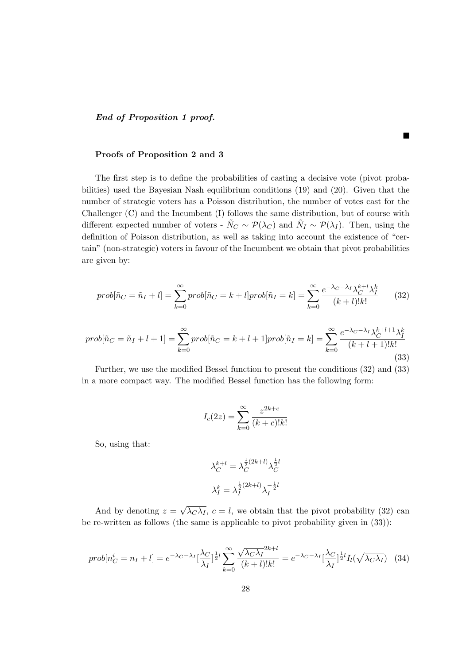End of Proposition 1 proof.

### Proofs of Proposition 2 and 3

The first step is to define the probabilities of casting a decisive vote (pivot probabilities) used the Bayesian Nash equilibrium conditions (19) and (20). Given that the number of strategic voters has a Poisson distribution, the number of votes cast for the Challenger (C) and the Incumbent (I) follows the same distribution, but of course with different expected number of voters -  $\tilde{N}_C \sim \mathcal{P}(\lambda_C)$  and  $\tilde{N}_I \sim \mathcal{P}(\lambda_I)$ . Then, using the definition of Poisson distribution, as well as taking into account the existence of "certain" (non-strategic) voters in favour of the Incumbent we obtain that pivot probabilities are given by:

Г

$$
prob[\tilde{n}_C = \tilde{n}_I + l] = \sum_{k=0}^{\infty} prob[\tilde{n}_C = k + l] prob[\tilde{n}_I = k] = \sum_{k=0}^{\infty} \frac{e^{-\lambda_C - \lambda_I} \lambda_C^{k+l} \lambda_I^k}{(k+l)!k!}
$$
(32)

$$
prob[\tilde{n}_C = \tilde{n}_I + l + 1] = \sum_{k=0}^{\infty} prob[\tilde{n}_C = k + l + 1] prob[\tilde{n}_I = k] = \sum_{k=0}^{\infty} \frac{e^{-\lambda_C - \lambda_I} \lambda_C^{k + l + 1} \lambda_I^k}{(k + l + 1)!k!}
$$
\n(33)

Further, we use the modified Bessel function to present the conditions (32) and (33) in a more compact way. The modified Bessel function has the following form:

$$
I_c(2z) = \sum_{k=0}^{\infty} \frac{z^{2k+c}}{(k+c)!k!}
$$

So, using that:

$$
\lambda_C^{k+l} = \lambda_C^{\frac{1}{2}(2k+l)} \lambda_C^{\frac{1}{2}l}
$$

$$
\lambda_I^k = \lambda_I^{\frac{1}{2}(2k+l)} \lambda_I^{-\frac{1}{2}l}
$$

And by denoting  $z =$ √  $\overline{\lambda_C \lambda_I}$ ,  $c = l$ , we obtain that the pivot probability (32) can be re-written as follows (the same is applicable to pivot probability given in (33)):

$$
prob[n_C^i = n_I + l] = e^{-\lambda_C - \lambda_I} \left[\frac{\lambda_C}{\lambda_I}\right]^{\frac{1}{2}l} \sum_{k=0}^{\infty} \frac{\sqrt{\lambda_C \lambda_I}^{2k+l}}{(k+l)!k!} = e^{-\lambda_C - \lambda_I} \left[\frac{\lambda_C}{\lambda_I}\right]^{\frac{1}{2}l} I_l(\sqrt{\lambda_C \lambda_I}) \tag{34}
$$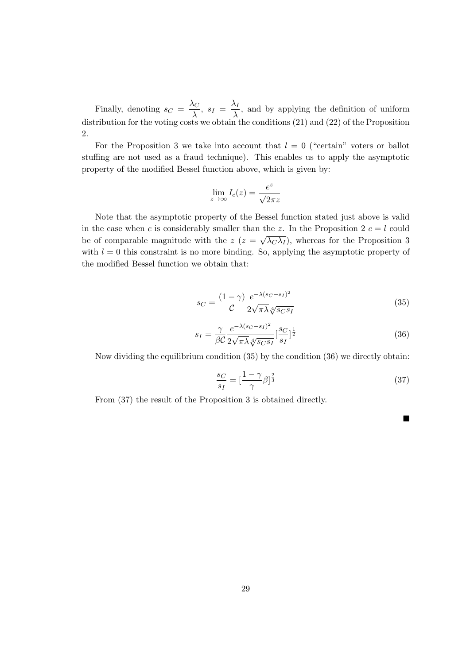Finally, denoting  $s_C = \frac{\lambda_C}{\lambda}$  $\frac{\lambda_C}{\lambda}$ ,  $s_I = \frac{\lambda_I}{\lambda}$  $\frac{\Delta}{\lambda}$ , and by applying the definition of uniform distribution for the voting costs we obtain the conditions  $(21)$  and  $(22)$  of the Proposition 2.

For the Proposition 3 we take into account that  $l = 0$  ("certain" voters or ballot stuffing are not used as a fraud technique). This enables us to apply the asymptotic property of the modified Bessel function above, which is given by:

$$
\lim_{z \to \infty} I_c(z) = \frac{e^z}{\sqrt{2\pi z}}
$$

Note that the asymptotic property of the Bessel function stated just above is valid in the case when c is considerably smaller than the z. In the Proposition 2  $c = l$  could be of comparable magnitude with the  $z(z=$ √  $(\lambda_C \lambda_I)$ , whereas for the Proposition 3 with  $l = 0$  this constraint is no more binding. So, applying the asymptotic property of the modified Bessel function we obtain that:

$$
s_C = \frac{(1 - \gamma)}{C} \frac{e^{-\lambda (s_C - s_I)^2}}{2\sqrt{\pi\lambda} \sqrt[4]{s_C s_I}}
$$
(35)

$$
s_I = \frac{\gamma}{\beta C} \frac{e^{-\lambda (s_C - s_I)^2}}{2\sqrt{\pi\lambda} \sqrt[4]{s_C s_I}} \left[\frac{s_C}{s_I}\right]^{\frac{1}{2}}
$$
(36)

Now dividing the equilibrium condition (35) by the condition (36) we directly obtain:

$$
\frac{s_C}{s_I} = \left[\frac{1-\gamma}{\gamma}\beta\right]^{\frac{2}{3}}\tag{37}
$$

 $\blacksquare$ 

From (37) the result of the Proposition 3 is obtained directly.

29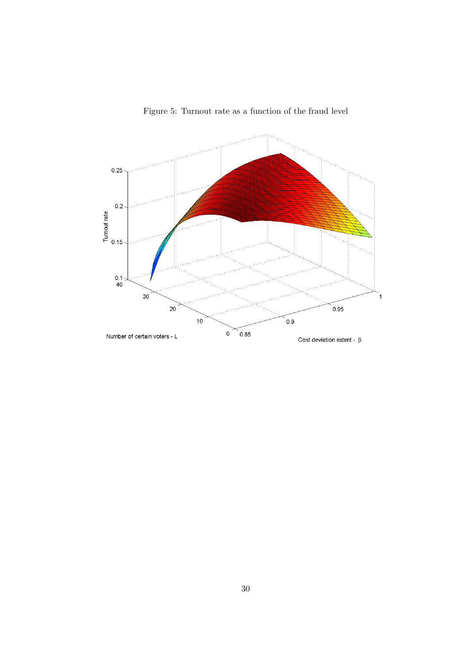

Figure 5: Turnout rate as a function of the fraud level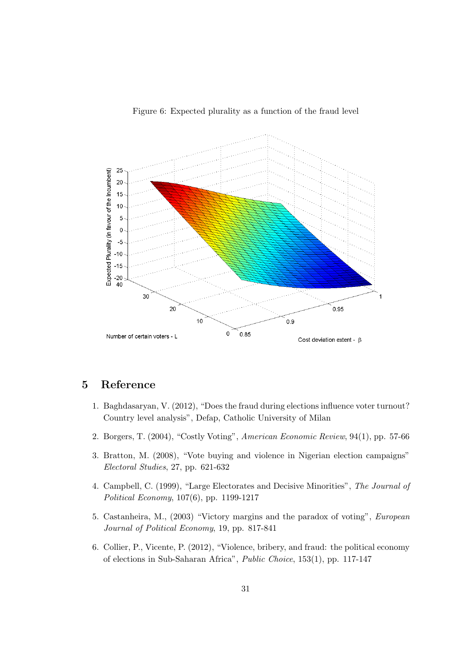

Figure 6: Expected plurality as a function of the fraud level

# 5 Reference

- 1. Baghdasaryan, V. (2012), "Does the fraud during elections influence voter turnout? Country level analysis", Defap, Catholic University of Milan
- 2. Borgers, T. (2004), "Costly Voting", American Economic Review, 94(1), pp. 57-66
- 3. Bratton, M. (2008), "Vote buying and violence in Nigerian election campaigns" Electoral Studies, 27, pp. 621-632
- 4. Campbell, C. (1999), "Large Electorates and Decisive Minorities", The Journal of Political Economy, 107(6), pp. 1199-1217
- 5. Castanheira, M., (2003) "Victory margins and the paradox of voting", European Journal of Political Economy, 19, pp. 817-841
- 6. Collier, P., Vicente, P. (2012), "Violence, bribery, and fraud: the political economy of elections in Sub-Saharan Africa", Public Choice, 153(1), pp. 117-147